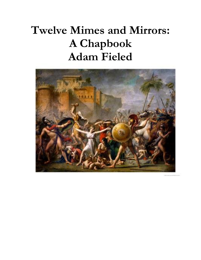# **Twelve Mimes and Mirrors: A Chapbook Adam Fieled**

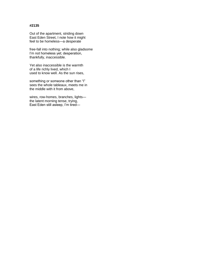Out of the apartment, striding down East Eden Street, I note how it might feel to be homeless—a desperate

free-fall into nothing; while also gladsome I'm not homeless yet; desperation, thankfully, inaccessible.

Yet also inaccessible is the warmth of a life richly lived, which I used to know well. As the sun rises,

something or someone other than "I" sees the whole tableaux, meets me in the middle with it from above,

wires, row-homes, branches, lights the latent morning tense, trying, East Eden still asleep, I'm tired—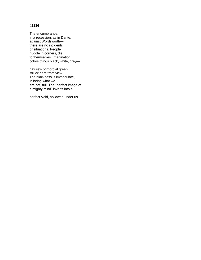The encumbrance, in a recession, as in Dante, against Wordsworth there are no incidents or situations. People huddle in corners, die to themselves. Imagination colors things black, white, grey—

nature's primordial green struck here from view. The blackness is immaculate, in being what we are not, full. The "perfect image of a mighty mind" inverts into a

perfect Void, hollowed under us.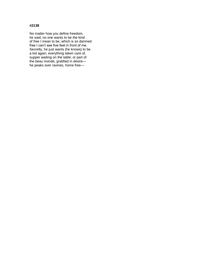No matter how you define freedom, he said, no one wants to be the kind of free I mean to be, which is so damned free I can't see five feet in front of me. Secretly, he just wants (he knows) to be a kid again, everything taken care of, supper waiting on the table; or part of the beau monde, gratified in desire he peaks over ravines, home free—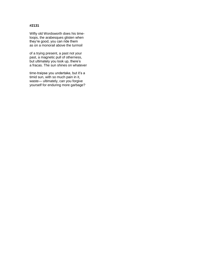Wifty old Wordsworth does his timeloops, the arabesques glisten when they're good, you can ride them as on a monorail above the turmoil

of a trying present, a past not your past, a magnetic pull of otherness, but ultimately you look up, there's a fracas. The sun shines on whatever

time-traipse you undertake, but it's a timid sun, with so much pain in it, waste— ultimately, can you forgive yourself for enduring more garbage?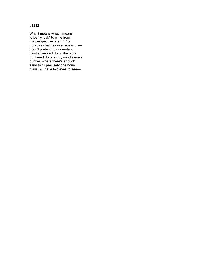Why it means what it means to be "lyrical," to write from the perspective of an "I," & how this changes in a recession— I don't pretend to understand, I just sit around doing the work, hunkered down in my mind's eye's bunker, where there's enough sand to fill precisely one hourglass, & I have two eyes to see—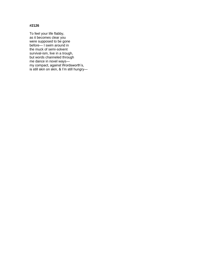To feel your life flabby, as it becomes clear you were supposed to be gone before— I swim around in the muck of semi-solvent survival-ism, live in a trough, but words channeled through me dance in novel ways my compact, against Wordsworth's, is still skin on skin, & I'm still hungry—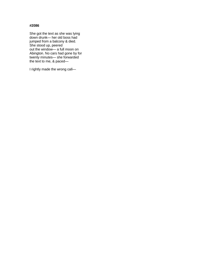She got the text as she was lying down drunk— her old boss had jumped from a balcony & died. She stood up, peered out the window— a full moon on Abington. No cars had gone by for twenty minutes— she forwarded the text to me, & paced—

I rightly made the wrong call—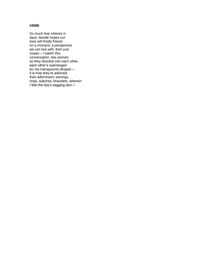So much fear inheres in days, beside hopes our lives will finally freeze on a moment, a perspective we can live with, then just cease— I watch this conversation, two women as they dissolve into each other, each other's submerged (to me transparent) despair it is how they're adorned, their adornment, earrings, rings, watches, bracelets, wherein I feel the day's sagging skin—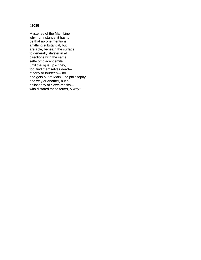Mysteries of the Main Line why, for instance, it has to be that no one mentions anything substantial, but are able, beneath the surface, to generally shyster in all directions with the same self-complacent smile, until the jig is up & they, too, find themselves dead at forty or fourteen— no one gets out of Main Line philosophy, one way or another, but a philosophy of clown-masks who dictated these terms, & why?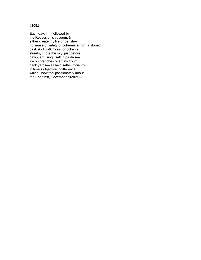Each day, I'm hollowed by the Recession's vacuum, & either create my life or perish no sense of safety or coherence from a storied past. As I walk Conshohocken's streets, I note the sky, just before dawn, amusing itself in pastels ice on branches over tiny front/ back yards— all held self-sufficiently in time's objective indifference, which I now feel passionately about, for & against, December circuits—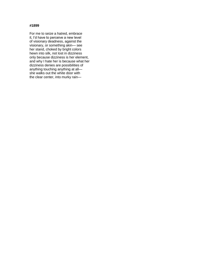For me to seize a hatred, embrace it, I'd have to perceive a new level of visionary deadness, against the visionary, or something akin— see her stand, choked by bright colors hewn into silk, not lost in dizziness only because dizziness is her element, and why I hate her is because what her dizziness denies are possibilities of anything touching anything at all she walks out the white door with the clear center, into murky rain—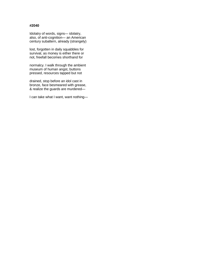Idolatry of words, signs— idolatry, also, of anti-cognition— an American century subaltern, already (strangely)

lost, forgotten in daily squabbles for survival, as money is either there or not, freefall becomes shorthand for

normalcy. I walk through the ambient museum of human angst, buttons pressed, resources tapped but not

drained, stop before an idol cast in bronze, face besmeared with grease, & realize the guards are murdered—

I can take what I want, want nothing—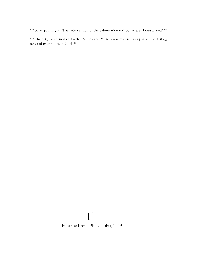\*\*\* cover painting is "The Intervention of the Sabine Women" by Jacques-Louis David\*\*\*

\*\*\*The original version of Twelve Mimes and Mirrors was released as a part of the Trilogy series of chapbooks in 2014\*\*\*

## F

Funtime Press, Philadelphia, 2019